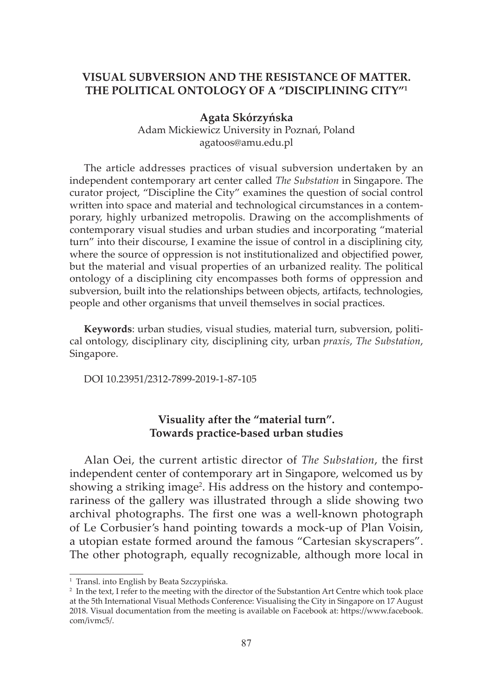### **VISUAL SUBVERSION AND THE RESISTANCE OF MATTER. THE POLITICAL ONTOLOGY OF A "DISCIPLINING CITY"1**

**Agata Skórzyńska** Adam Mickiewicz University in Poznań, Poland agatoos@amu.edu.pl

The article addresses practices of visual subversion undertaken by an independent contemporary art center called *The Substation* in Singapore. The curator project, "Discipline the City" examines the question of social control written into space and material and technological circumstances in a contemporary, highly urbanized metropolis. Drawing on the accomplishments of contemporary visual studies and urban studies and incorporating "material turn" into their discourse, I examine the issue of control in a disciplining city, where the source of oppression is not institutionalized and objectified power, but the material and visual properties of an urbanized reality. The political ontology of a disciplining city encompasses both forms of oppression and subversion, built into the relationships between objects, artifacts, technologies, people and other organisms that unveil themselves in social practices.

**Keywords**: urban studies, visual studies, material turn, subversion, political ontology, disciplinary city, disciplining city, urban *praxis*, *The Substation*, Singapore.

DOI 10.23951/2312-7899-2019-1-87-105

### **Visuality after the "material turn". Towards practice-based urban studies**

Alan Oei, the current artistic director of *The Substation*, the first independent center of contemporary art in Singapore, welcomed us by showing a striking image<sup>2</sup>. His address on the history and contemporariness of the gallery was illustrated through a slide showing two archival photographs. The first one was a well-known photograph of Le Corbusier's hand pointing towards a mock-up of Plan Voisin, a utopian estate formed around the famous "Cartesian skyscrapers". The other photograph, equally recognizable, although more local in

<sup>&</sup>lt;sup>1</sup> Transl. into English by Beata Szczypińska.

<sup>&</sup>lt;sup>2</sup> In the text, I refer to the meeting with the director of the Substantion Art Centre which took place at the 5th International Visual Methods Conference: Visualising the City in Singapore on 17 August 2018. Visual documentation from the meeting is available on Facebook at: https://www.facebook. com/ivmc5/.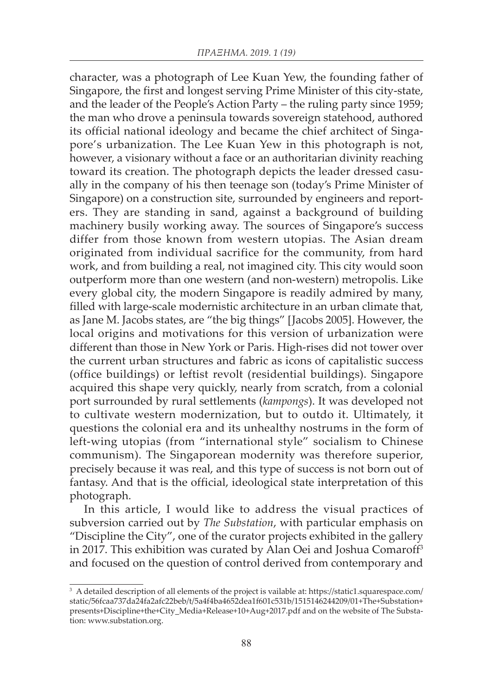character, was a photograph of Lee Kuan Yew, the founding father of Singapore, the first and longest serving Prime Minister of this city-state, and the leader of the People's Action Party – the ruling party since 1959; the man who drove a peninsula towards sovereign statehood, authored its official national ideology and became the chief architect of Singapore's urbanization. The Lee Kuan Yew in this photograph is not, however, a visionary without a face or an authoritarian divinity reaching toward its creation. The photograph depicts the leader dressed casually in the company of his then teenage son (today's Prime Minister of Singapore) on a construction site, surrounded by engineers and reporters. They are standing in sand, against a background of building machinery busily working away. The sources of Singapore's success differ from those known from western utopias. The Asian dream originated from individual sacrifice for the community, from hard work, and from building a real, not imagined city. This city would soon outperform more than one western (and non-western) metropolis. Like every global city, the modern Singapore is readily admired by many, filled with large-scale modernistic architecture in an urban climate that, as Jane M. Jacobs states, are "the big things" [Jacobs 2005]. However, the local origins and motivations for this version of urbanization were different than those in New York or Paris. High-rises did not tower over the current urban structures and fabric as icons of capitalistic success (office buildings) or leftist revolt (residential buildings). Singapore acquired this shape very quickly, nearly from scratch, from a colonial port surrounded by rural settlements (*kampongs*). It was developed not to cultivate western modernization, but to outdo it. Ultimately, it questions the colonial era and its unhealthy nostrums in the form of left-wing utopias (from "international style" socialism to Chinese communism). The Singaporean modernity was therefore superior, precisely because it was real, and this type of success is not born out of fantasy. And that is the official, ideological state interpretation of this photograph.

In this article, I would like to address the visual practices of subversion carried out by *The Substation*, with particular emphasis on "Discipline the City", one of the curator projects exhibited in the gallery in 2017. This exhibition was curated by Alan Oei and Joshua Comaroff3 and focused on the question of control derived from contemporary and

<sup>3</sup> A detailed description of all elements of the project is vailable at: https://static1.squarespace.com/ static/56fcaa737da24fa2afc22beb/t/5a4f4ba4652dea1f601c531b/1515146244209/01+The+Substation+ presents+Discipline+the+City\_Media+Release+10+Aug+2017.pdf and on the website of The Substation: www.substation.org.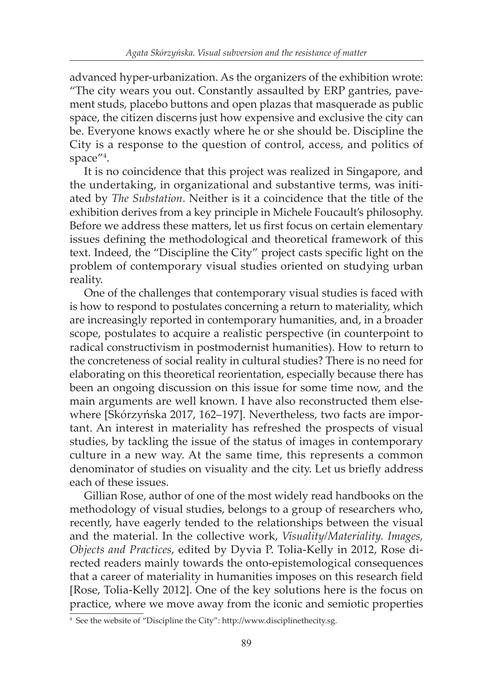advanced hyper-urbanization. As the organizers of the exhibition wrote: "The city wears you out. Constantly assaulted by ERP gantries, pavement studs, placebo buttons and open plazas that masquerade as public space, the citizen discerns just how expensive and exclusive the city can be. Everyone knows exactly where he or she should be. Discipline the City is a response to the question of control, access, and politics of space"4 .

It is no coincidence that this project was realized in Singapore, and the undertaking, in organizational and substantive terms, was initiated by *The Substation*. Neither is it a coincidence that the title of the exhibition derives from a key principle in Michele Foucault's philosophy. Before we address these matters, let us first focus on certain elementary issues defining the methodological and theoretical framework of this text. Indeed, the "Discipline the City" project casts specific light on the problem of contemporary visual studies oriented on studying urban reality.

One of the challenges that contemporary visual studies is faced with is how to respond to postulates concerning a return to materiality, which are increasingly reported in contemporary humanities, and, in a broader scope, postulates to acquire a realistic perspective (in counterpoint to radical constructivism in postmodernist humanities). How to return to the concreteness of social reality in cultural studies? There is no need for elaborating on this theoretical reorientation, especially because there has been an ongoing discussion on this issue for some time now, and the main arguments are well known. I have also reconstructed them elsewhere [Skórzyńska 2017, 162–197]. Nevertheless, two facts are important. An interest in materiality has refreshed the prospects of visual studies, by tackling the issue of the status of images in contemporary culture in a new way. At the same time, this represents a common denominator of studies on visuality and the city. Let us briefly address each of these issues.

Gillian Rose, author of one of the most widely read handbooks on the methodology of visual studies, belongs to a group of researchers who, recently, have eagerly tended to the relationships between the visual and the material. In the collective work, *Visuality/Materiality. Images, Objects and Practices*, edited by Dyvia P. Tolia-Kelly in 2012, Rose directed readers mainly towards the onto-epistemological consequences that a career of materiality in humanities imposes on this research field [Rose, Tolia-Kelly 2012]. One of the key solutions here is the focus on practice, where we move away from the iconic and semiotic properties

<sup>4</sup> See the website of "Discipline the City": http://www.disciplinethecity.sg.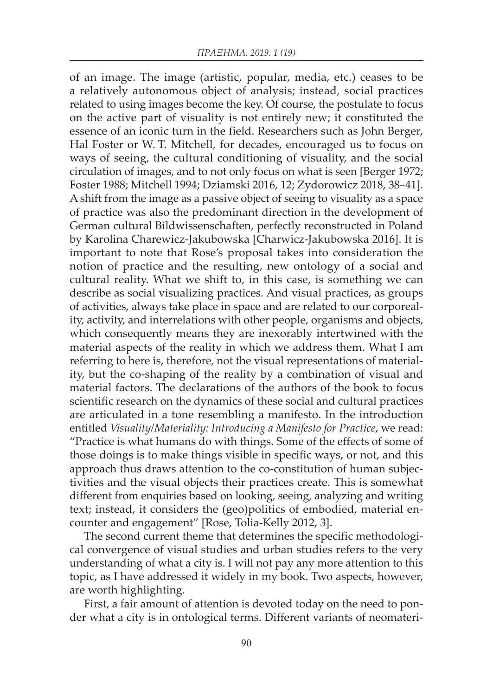of an image. The image (artistic, popular, media, etc.) ceases to be a relatively autonomous object of analysis; instead, social practices related to using images become the key. Of course, the postulate to focus on the active part of visuality is not entirely new; it constituted the essence of an iconic turn in the field. Researchers such as John Berger, Hal Foster or W. T. Mitchell, for decades, encouraged us to focus on ways of seeing, the cultural conditioning of visuality, and the social circulation of images, and to not only focus on what is seen [Berger 1972; Foster 1988; Mitchell 1994; Dziamski 2016, 12; Zydorowicz 2018, 38–41]. A shift from the image as a passive object of seeing to visuality as a space of practice was also the predominant direction in the development of German cultural Bildwissenschaften, perfectly reconstructed in Poland by Karolina Charewicz-Jakubowska [Charwicz-Jakubowska 2016]. It is important to note that Rose's proposal takes into consideration the notion of practice and the resulting, new ontology of a social and cultural reality. What we shift to, in this case, is something we can describe as social visualizing practices. And visual practices, as groups of activities, always take place in space and are related to our corporeality, activity, and interrelations with other people, organisms and objects, which consequently means they are inexorably intertwined with the material aspects of the reality in which we address them. What I am referring to here is, therefore, not the visual representations of materiality, but the co-shaping of the reality by a combination of visual and material factors. The declarations of the authors of the book to focus scientific research on the dynamics of these social and cultural practices are articulated in a tone resembling a manifesto. In the introduction entitled *Visuality/Materiality: Introducing a Manifesto for Practice*, we read: "Practice is what humans do with things. Some of the effects of some of those doings is to make things visible in specific ways, or not, and this approach thus draws attention to the co-constitution of human subjectivities and the visual objects their practices create. This is somewhat different from enquiries based on looking, seeing, analyzing and writing text; instead, it considers the (geo)politics of embodied, material encounter and engagement" [Rose, Tolia-Kelly 2012, 3].

The second current theme that determines the specific methodological convergence of visual studies and urban studies refers to the very understanding of what a city is. I will not pay any more attention to this topic, as I have addressed it widely in my book. Two aspects, however, are worth highlighting.

First, a fair amount of attention is devoted today on the need to ponder what a city is in ontological terms. Different variants of neomateri-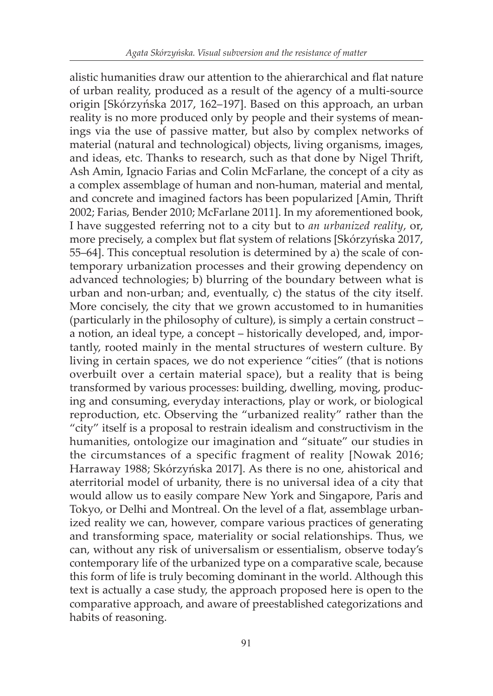alistic humanities draw our attention to the ahierarchical and flat nature of urban reality, produced as a result of the agency of a multi-source origin [Skórzyńska 2017, 162–197]. Based on this approach, an urban reality is no more produced only by people and their systems of meanings via the use of passive matter, but also by complex networks of material (natural and technological) objects, living organisms, images, and ideas, etc. Thanks to research, such as that done by Nigel Thrift, Ash Amin, Ignacio Farias and Colin McFarlane, the concept of a city as a complex assemblage of human and non-human, material and mental, and concrete and imagined factors has been popularized [Amin, Thrift 2002; Farias, Bender 2010; McFarlane 2011]. In my aforementioned book, I have suggested referring not to a city but to *an urbanized reality*, or, more precisely, a complex but flat system of relations [Skórzyńska 2017, 55–64]. This conceptual resolution is determined by a) the scale of contemporary urbanization processes and their growing dependency on advanced technologies; b) blurring of the boundary between what is urban and non-urban; and, eventually, c) the status of the city itself. More concisely, the city that we grown accustomed to in humanities (particularly in the philosophy of culture), is simply a certain construct – a notion, an ideal type, a concept – historically developed, and, importantly, rooted mainly in the mental structures of western culture. By living in certain spaces, we do not experience "cities" (that is notions overbuilt over a certain material space), but a reality that is being transformed by various processes: building, dwelling, moving, producing and consuming, everyday interactions, play or work, or biological reproduction, etc. Observing the "urbanized reality" rather than the "city" itself is a proposal to restrain idealism and constructivism in the humanities, ontologize our imagination and "situate" our studies in the circumstances of a specific fragment of reality [Nowak 2016; Harraway 1988; Skórzyńska 2017]. As there is no one, ahistorical and aterritorial model of urbanity, there is no universal idea of a city that would allow us to easily compare New York and Singapore, Paris and Tokyo, or Delhi and Montreal. On the level of a flat, assemblage urbanized reality we can, however, compare various practices of generating and transforming space, materiality or social relationships. Thus, we can, without any risk of universalism or essentialism, observe today's contemporary life of the urbanized type on a comparative scale, because this form of life is truly becoming dominant in the world. Although this text is actually a case study, the approach proposed here is open to the comparative approach, and aware of preestablished categorizations and habits of reasoning.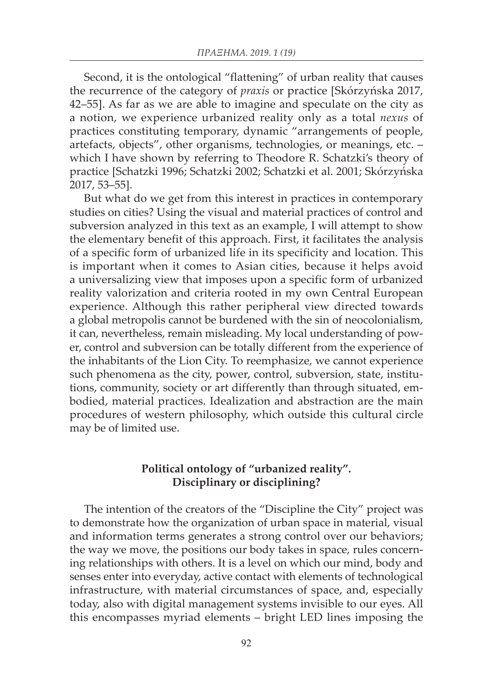Second, it is the ontological "flattening" of urban reality that causes the recurrence of the category of *praxis* or practice [Skórzyńska 2017, 42–55]. As far as we are able to imagine and speculate on the city as a notion, we experience urbanized reality only as a total *nexus* of practices constituting temporary, dynamic "arrangements of people, artefacts, objects", other organisms, technologies, or meanings, etc. – which I have shown by referring to Theodore R. Schatzki's theory of practice [Schatzki 1996; Schatzki 2002; Schatzki et al. 2001; Skórzyńska 2017, 53–55].

But what do we get from this interest in practices in contemporary studies on cities? Using the visual and material practices of control and subversion analyzed in this text as an example, I will attempt to show the elementary benefit of this approach. First, it facilitates the analysis of a specific form of urbanized life in its specificity and location. This is important when it comes to Asian cities, because it helps avoid a universalizing view that imposes upon a specific form of urbanized reality valorization and criteria rooted in my own Central European experience. Although this rather peripheral view directed towards a global metropolis cannot be burdened with the sin of neocolonialism, it can, nevertheless, remain misleading. My local understanding of power, control and subversion can be totally different from the experience of the inhabitants of the Lion City. To reemphasize, we cannot experience such phenomena as the city, power, control, subversion, state, institutions, community, society or art differently than through situated, embodied, material practices. Idealization and abstraction are the main procedures of western philosophy, which outside this cultural circle may be of limited use.

# **Political ontology of "urbanized reality". Disciplinary or disciplining?**

The intention of the creators of the "Discipline the City" project was to demonstrate how the organization of urban space in material, visual and information terms generates a strong control over our behaviors; the way we move, the positions our body takes in space, rules concerning relationships with others. It is a level on which our mind, body and senses enter into everyday, active contact with elements of technological infrastructure, with material circumstances of space, and, especially today, also with digital management systems invisible to our eyes. All this encompasses myriad elements – bright LED lines imposing the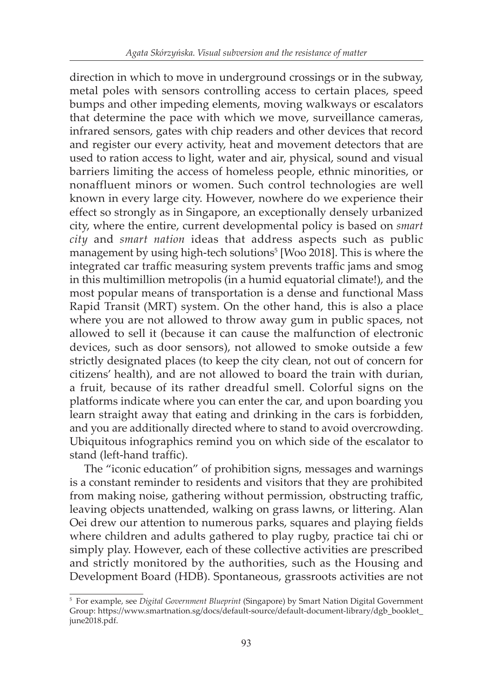direction in which to move in underground crossings or in the subway, metal poles with sensors controlling access to certain places, speed bumps and other impeding elements, moving walkways or escalators that determine the pace with which we move, surveillance cameras, infrared sensors, gates with chip readers and other devices that record and register our every activity, heat and movement detectors that are used to ration access to light, water and air, physical, sound and visual barriers limiting the access of homeless people, ethnic minorities, or nonaffluent minors or women. Such control technologies are well known in every large city. However, nowhere do we experience their effect so strongly as in Singapore, an exceptionally densely urbanized city, where the entire, current developmental policy is based on *smart city* and *smart nation* ideas that address aspects such as public management by using high-tech solutions<sup>5</sup> [Woo 2018]. This is where the integrated car traffic measuring system prevents traffic jams and smog in this multimillion metropolis (in a humid equatorial climate!), and the most popular means of transportation is a dense and functional Mass Rapid Transit (MRT) system. On the other hand, this is also a place where you are not allowed to throw away gum in public spaces, not allowed to sell it (because it can cause the malfunction of electronic devices, such as door sensors), not allowed to smoke outside a few strictly designated places (to keep the city clean, not out of concern for citizens' health), and are not allowed to board the train with durian, a fruit, because of its rather dreadful smell. Colorful signs on the platforms indicate where you can enter the car, and upon boarding you learn straight away that eating and drinking in the cars is forbidden, and you are additionally directed where to stand to avoid overcrowding. Ubiquitous infographics remind you on which side of the escalator to stand (left-hand traffic).

The "iconic education" of prohibition signs, messages and warnings is a constant reminder to residents and visitors that they are prohibited from making noise, gathering without permission, obstructing traffic, leaving objects unattended, walking on grass lawns, or littering. Alan Oei drew our attention to numerous parks, squares and playing fields where children and adults gathered to play rugby, practice tai chi or simply play. However, each of these collective activities are prescribed and strictly monitored by the authorities, such as the Housing and Development Board (HDB). Spontaneous, grassroots activities are not

<sup>5</sup> For example, see *Digital Government Blueprint* (Singapore) by Smart Nation Digital Government Group: https://www.smartnation.sg/docs/default-source/default-document-library/dgb\_booklet\_ june2018.pdf.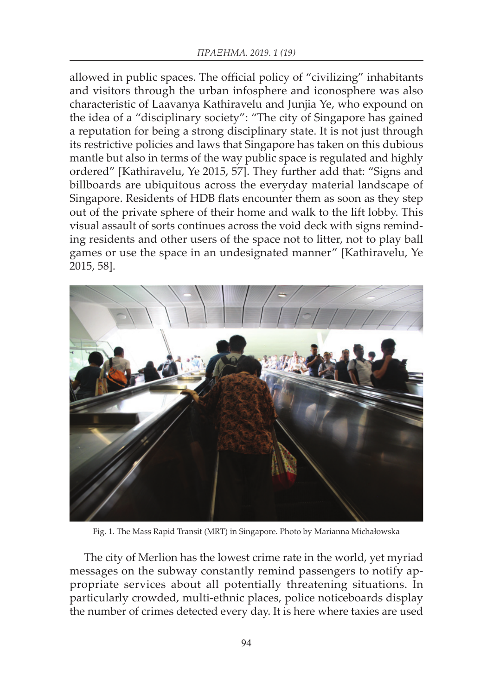allowed in public spaces. The official policy of "civilizing" inhabitants and visitors through the urban infosphere and iconosphere was also characteristic of Laavanya Kathiravelu and Junjia Ye, who expound on the idea of a "disciplinary society": "The city of Singapore has gained a reputation for being a strong disciplinary state. It is not just through its restrictive policies and laws that Singapore has taken on this dubious mantle but also in terms of the way public space is regulated and highly ordered" [Kathiravelu, Ye 2015, 57]. They further add that: "Signs and billboards are ubiquitous across the everyday material landscape of Singapore. Residents of HDB flats encounter them as soon as they step out of the private sphere of their home and walk to the lift lobby. This visual assault of sorts continues across the void deck with signs reminding residents and other users of the space not to litter, not to play ball games or use the space in an undesignated manner" [Kathiravelu, Ye 2015, 58].



Fig. 1. The Mass Rapid Transit (MRT) in Singapore. Photo by Marianna Michałowska

The city of Merlion has the lowest crime rate in the world, yet myriad messages on the subway constantly remind passengers to notify appropriate services about all potentially threatening situations. In particularly crowded, multi-ethnic places, police noticeboards display the number of crimes detected every day. It is here where taxies are used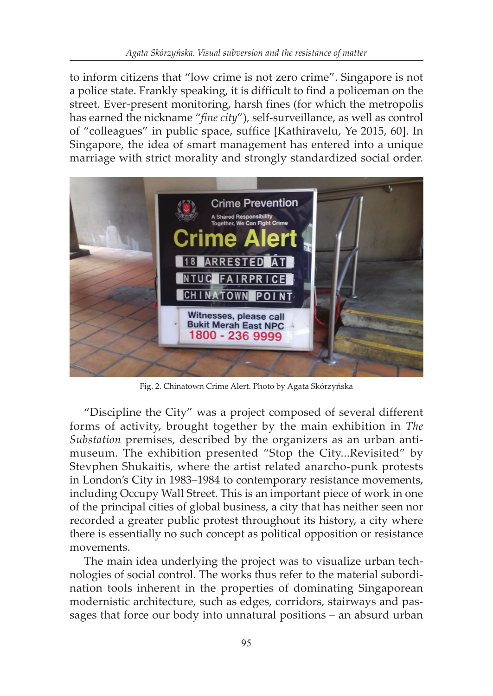to inform citizens that "low crime is not zero crime". Singapore is not a police state. Frankly speaking, it is difficult to find a policeman on the street. Ever-present monitoring, harsh fines (for which the metropolis has earned the nickname "*fine city*"), self-surveillance, as well as control of "colleagues" in public space, suffice [Kathiravelu, Ye 2015, 60]. In Singapore, the idea of smart management has entered into a unique marriage with strict morality and strongly standardized social order.



Fig. 2. Chinatown Crime Alert. Photo by Agata Skórzyńska

"Discipline the City" was a project composed of several different forms of activity, brought together by the main exhibition in *The Substation* premises, described by the organizers as an urban antimuseum. The exhibition presented "Stop the City...Revisited" by Stevphen Shukaitis, where the artist related anarcho-punk protests in London's City in 1983–1984 to contemporary resistance movements, including Occupy Wall Street. This is an important piece of work in one of the principal cities of global business, a city that has neither seen nor recorded a greater public protest throughout its history, a city where there is essentially no such concept as political opposition or resistance movements.

The main idea underlying the project was to visualize urban technologies of social control. The works thus refer to the material subordination tools inherent in the properties of dominating Singaporean modernistic architecture, such as edges, corridors, stairways and passages that force our body into unnatural positions – an absurd urban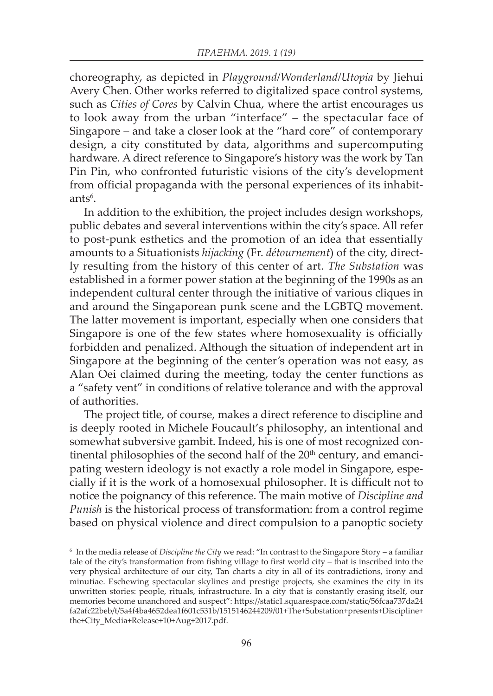choreography, as depicted in *Playground/Wonderland/Utopia* by Jiehui Avery Chen. Other works referred to digitalized space control systems, such as *Cities of Cores* by Calvin Chua, where the artist encourages us to look away from the urban "interface" – the spectacular face of Singapore – and take a closer look at the "hard core" of contemporary design, a city constituted by data, algorithms and supercomputing hardware. A direct reference to Singapore's history was the work by Tan Pin Pin, who confronted futuristic visions of the city's development from official propaganda with the personal experiences of its inhabitants<sup>6</sup>.

In addition to the exhibition, the project includes design workshops, public debates and several interventions within the city's space. All refer to post-punk esthetics and the promotion of an idea that essentially amounts to a Situationists *hijacking* (Fr. *détournement*) of the city, directly resulting from the history of this center of art. *The Substation* was established in a former power station at the beginning of the 1990s as an independent cultural center through the initiative of various cliques in and around the Singaporean punk scene and the LGBTQ movement. The latter movement is important, especially when one considers that Singapore is one of the few states where homosexuality is officially forbidden and penalized. Although the situation of independent art in Singapore at the beginning of the center's operation was not easy, as Alan Oei claimed during the meeting, today the center functions as a "safety vent" in conditions of relative tolerance and with the approval of authorities.

The project title, of course, makes a direct reference to discipline and is deeply rooted in Michele Foucault's philosophy, an intentional and somewhat subversive gambit. Indeed, his is one of most recognized continental philosophies of the second half of the  $20<sup>th</sup>$  century, and emancipating western ideology is not exactly a role model in Singapore, especially if it is the work of a homosexual philosopher. It is difficult not to notice the poignancy of this reference. The main motive of *Discipline and Punish* is the historical process of transformation: from a control regime based on physical violence and direct compulsion to a panoptic society

<sup>6</sup> In the media release of *Discipline the City* we read: "In contrast to the Singapore Story – a familiar tale of the city's transformation from fishing village to first world city – that is inscribed into the very physical architecture of our city, Tan charts a city in all of its contradictions, irony and minutiae. Eschewing spectacular skylines and prestige projects, she examines the city in its unwritten stories: people, rituals, infrastructure. In a city that is constantly erasing itself, our memories become unanchored and suspect": https://static1.squarespace.com/static/56fcaa737da24 fa2afc22beb/t/5a4f4ba4652dea1f601c531b/1515146244209/01+The+Substation+presents+Discipline+ the+City\_Media+Release+10+Aug+2017.pdf.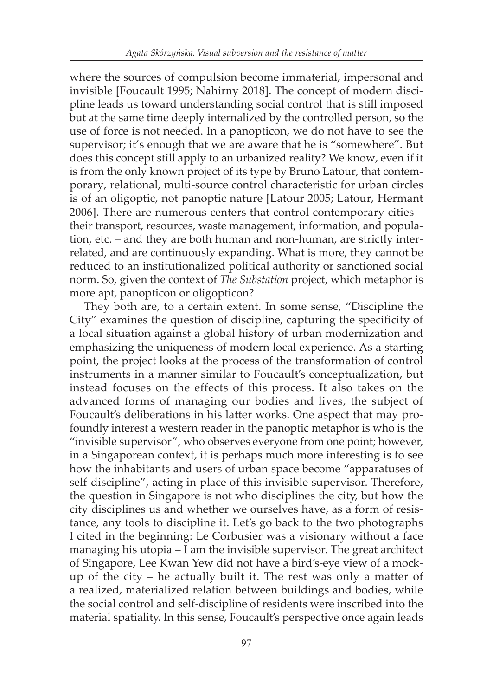where the sources of compulsion become immaterial, impersonal and invisible [Foucault 1995; Nahirny 2018]. The concept of modern discipline leads us toward understanding social control that is still imposed but at the same time deeply internalized by the controlled person, so the use of force is not needed. In a panopticon, we do not have to see the supervisor; it's enough that we are aware that he is "somewhere". But does this concept still apply to an urbanized reality? We know, even if it is from the only known project of its type by Bruno Latour, that contemporary, relational, multi-source control characteristic for urban circles is of an oligoptic, not panoptic nature [Latour 2005; Latour, Hermant 2006]. There are numerous centers that control contemporary cities – their transport, resources, waste management, information, and population, etc. – and they are both human and non-human, are strictly interrelated, and are continuously expanding. What is more, they cannot be reduced to an institutionalized political authority or sanctioned social norm. So, given the context of *The Substation* project, which metaphor is more apt, panopticon or oligopticon?

They both are, to a certain extent. In some sense, "Discipline the City" examines the question of discipline, capturing the specificity of a local situation against a global history of urban modernization and emphasizing the uniqueness of modern local experience. As a starting point, the project looks at the process of the transformation of control instruments in a manner similar to Foucault's conceptualization, but instead focuses on the effects of this process. It also takes on the advanced forms of managing our bodies and lives, the subject of Foucault's deliberations in his latter works. One aspect that may profoundly interest a western reader in the panoptic metaphor is who is the "invisible supervisor", who observes everyone from one point; however, in a Singaporean context, it is perhaps much more interesting is to see how the inhabitants and users of urban space become "apparatuses of self-discipline", acting in place of this invisible supervisor. Therefore, the question in Singapore is not who disciplines the city, but how the city disciplines us and whether we ourselves have, as a form of resistance, any tools to discipline it. Let's go back to the two photographs I cited in the beginning: Le Corbusier was a visionary without a face managing his utopia – I am the invisible supervisor. The great architect of Singapore, Lee Kwan Yew did not have a bird's-eye view of a mockup of the city – he actually built it. The rest was only a matter of a realized, materialized relation between buildings and bodies, while the social control and self-discipline of residents were inscribed into the material spatiality. In this sense, Foucault's perspective once again leads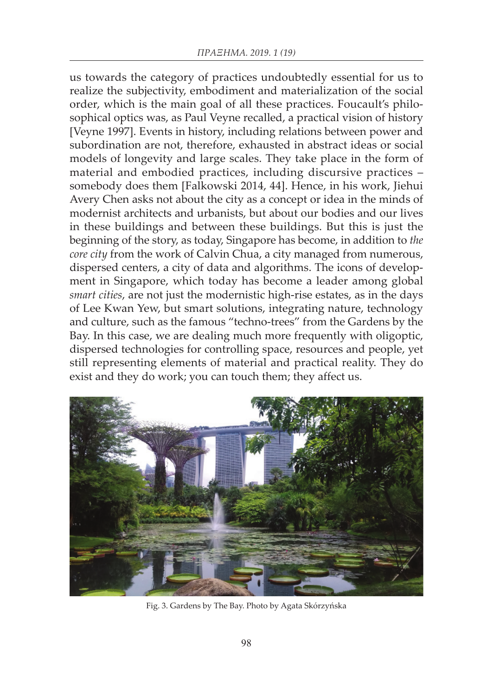us towards the category of practices undoubtedly essential for us to realize the subjectivity, embodiment and materialization of the social order, which is the main goal of all these practices. Foucault's philosophical optics was, as Paul Veyne recalled, a practical vision of history [Veyne 1997]. Events in history, including relations between power and subordination are not, therefore, exhausted in abstract ideas or social models of longevity and large scales. They take place in the form of material and embodied practices, including discursive practices – somebody does them [Falkowski 2014, 44]. Hence, in his work, Jiehui Avery Chen asks not about the city as a concept or idea in the minds of modernist architects and urbanists, but about our bodies and our lives in these buildings and between these buildings. But this is just the beginning of the story, as today, Singapore has become, in addition to *the core city* from the work of Calvin Chua, a city managed from numerous, dispersed centers, a city of data and algorithms. The icons of development in Singapore, which today has become a leader among global *smart cities*, are not just the modernistic high-rise estates, as in the days of Lee Kwan Yew, but smart solutions, integrating nature, technology and culture, such as the famous "techno-trees" from the Gardens by the Bay. In this case, we are dealing much more frequently with oligoptic, dispersed technologies for controlling space, resources and people, yet still representing elements of material and practical reality. They do exist and they do work; you can touch them; they affect us.



Fig. 3. Gardens by The Bay. Photo by Agata Skórzyńska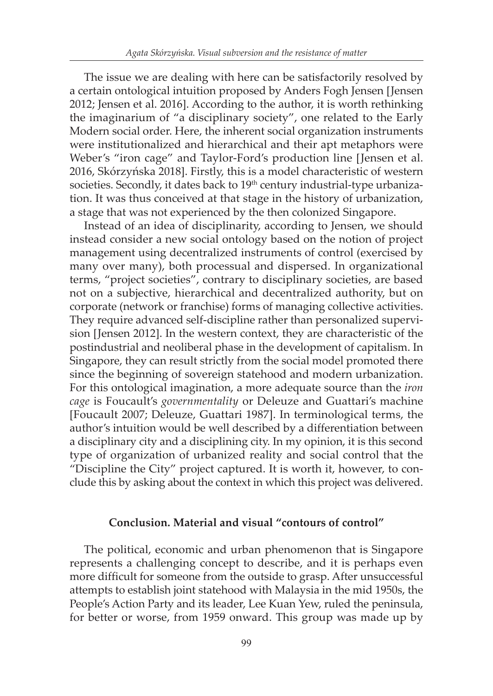The issue we are dealing with here can be satisfactorily resolved by a certain ontological intuition proposed by Anders Fogh Jensen [Jensen 2012; Jensen et al. 2016]. According to the author, it is worth rethinking the imaginarium of "a disciplinary society", one related to the Early Modern social order. Here, the inherent social organization instruments were institutionalized and hierarchical and their apt metaphors were Weber's "iron cage" and Taylor-Ford's production line [Jensen et al. 2016, Skórzyńska 2018]. Firstly, this is a model characteristic of western societies. Secondly, it dates back to 19<sup>th</sup> century industrial-type urbanization. It was thus conceived at that stage in the history of urbanization, a stage that was not experienced by the then colonized Singapore.

Instead of an idea of disciplinarity, according to Jensen, we should instead consider a new social ontology based on the notion of project management using decentralized instruments of control (exercised by many over many), both processual and dispersed. In organizational terms, "project societies", contrary to disciplinary societies, are based not on a subjective, hierarchical and decentralized authority, but on corporate (network or franchise) forms of managing collective activities. They require advanced self-discipline rather than personalized supervision [Jensen 2012]. In the western context, they are characteristic of the postindustrial and neoliberal phase in the development of capitalism. In Singapore, they can result strictly from the social model promoted there since the beginning of sovereign statehood and modern urbanization. For this ontological imagination, a more adequate source than the *iron cage* is Foucault's *governmentality* or Deleuze and Guattari's machine [Foucault 2007; Deleuze, Guattari 1987]. In terminological terms, the author's intuition would be well described by a differentiation between a disciplinary city and a disciplining city. In my opinion, it is this second type of organization of urbanized reality and social control that the "Discipline the City" project captured. It is worth it, however, to conclude this by asking about the context in which this project was delivered.

#### **Conclusion. Material and visual "contours of control"**

The political, economic and urban phenomenon that is Singapore represents a challenging concept to describe, and it is perhaps even more difficult for someone from the outside to grasp. After unsuccessful attempts to establish joint statehood with Malaysia in the mid 1950s, the People's Action Party and its leader, Lee Kuan Yew, ruled the peninsula, for better or worse, from 1959 onward. This group was made up by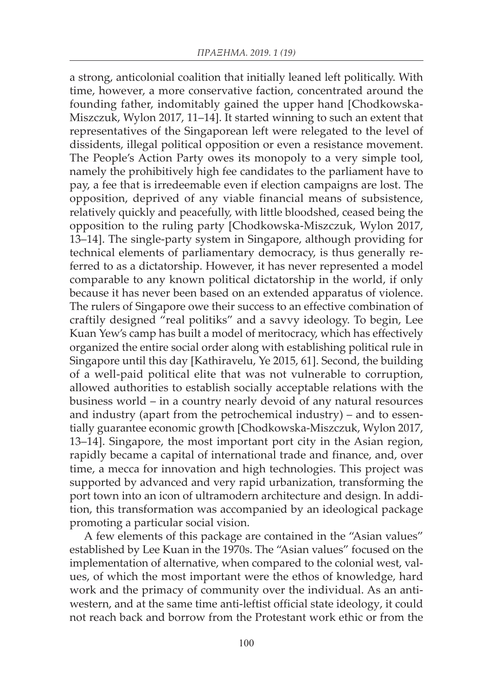a strong, anticolonial coalition that initially leaned left politically. With time, however, a more conservative faction, concentrated around the founding father, indomitably gained the upper hand [Chodkowska-Miszczuk, Wylon 2017, 11–14]. It started winning to such an extent that representatives of the Singaporean left were relegated to the level of dissidents, illegal political opposition or even a resistance movement. The People's Action Party owes its monopoly to a very simple tool, namely the prohibitively high fee candidates to the parliament have to pay, a fee that is irredeemable even if election campaigns are lost. The opposition, deprived of any viable financial means of subsistence, relatively quickly and peacefully, with little bloodshed, ceased being the opposition to the ruling party [Chodkowska-Miszczuk, Wylon 2017, 13–14]. The single-party system in Singapore, although providing for technical elements of parliamentary democracy, is thus generally referred to as a dictatorship. However, it has never represented a model comparable to any known political dictatorship in the world, if only because it has never been based on an extended apparatus of violence. The rulers of Singapore owe their success to an effective combination of craftily designed "real politiks" and a savvy ideology. To begin, Lee Kuan Yew's camp has built a model of meritocracy, which has effectively organized the entire social order along with establishing political rule in Singapore until this day [Kathiravelu, Ye 2015, 61]. Second, the building of a well-paid political elite that was not vulnerable to corruption, allowed authorities to establish socially acceptable relations with the business world – in a country nearly devoid of any natural resources and industry (apart from the petrochemical industry) – and to essentially guarantee economic growth [Chodkowska-Miszczuk, Wylon 2017, 13–14]. Singapore, the most important port city in the Asian region, rapidly became a capital of international trade and finance, and, over time, a mecca for innovation and high technologies. This project was supported by advanced and very rapid urbanization, transforming the port town into an icon of ultramodern architecture and design. In addition, this transformation was accompanied by an ideological package promoting a particular social vision.

A few elements of this package are contained in the "Asian values" established by Lee Kuan in the 1970s. The "Asian values" focused on the implementation of alternative, when compared to the colonial west, values, of which the most important were the ethos of knowledge, hard work and the primacy of community over the individual. As an antiwestern, and at the same time anti-leftist official state ideology, it could not reach back and borrow from the Protestant work ethic or from the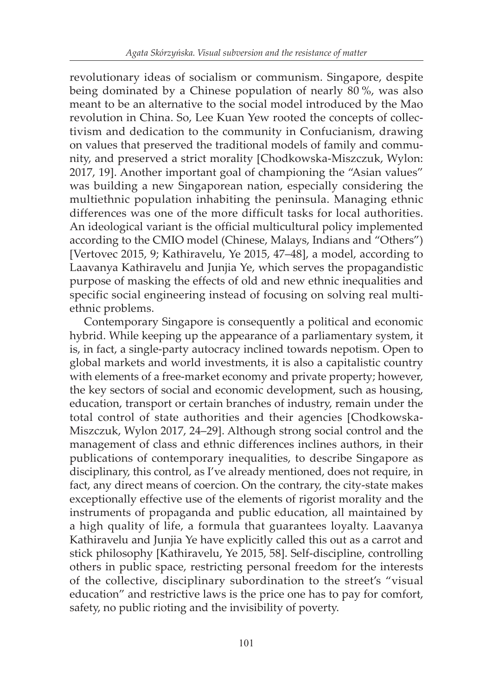revolutionary ideas of socialism or communism. Singapore, despite being dominated by a Chinese population of nearly 80 %, was also meant to be an alternative to the social model introduced by the Mao revolution in China. So, Lee Kuan Yew rooted the concepts of collectivism and dedication to the community in Confucianism, drawing on values that preserved the traditional models of family and community, and preserved a strict morality [Chodkowska-Miszczuk, Wylon: 2017, 19]. Another important goal of championing the "Asian values" was building a new Singaporean nation, especially considering the multiethnic population inhabiting the peninsula. Managing ethnic differences was one of the more difficult tasks for local authorities. An ideological variant is the official multicultural policy implemented according to the CMIO model (Chinese, Malays, Indians and "Others") [Vertovec 2015, 9; Kathiravelu, Ye 2015, 47-48], a model, according to Laavanya Kathiravelu and Junjia Ye, which serves the propagandistic purpose of masking the effects of old and new ethnic inequalities and specific social engineering instead of focusing on solving real multiethnic problems.

Contemporary Singapore is consequently a political and economic hybrid. While keeping up the appearance of a parliamentary system, it is, in fact, a single-party autocracy inclined towards nepotism. Open to global markets and world investments, it is also a capitalistic country with elements of a free-market economy and private property; however, the key sectors of social and economic development, such as housing, education, transport or certain branches of industry, remain under the total control of state authorities and their agencies [Chodkowska-Miszczuk, Wylon 2017, 24–29]. Although strong social control and the management of class and ethnic differences inclines authors, in their publications of contemporary inequalities, to describe Singapore as disciplinary, this control, as I've already mentioned, does not require, in fact, any direct means of coercion. On the contrary, the city-state makes exceptionally effective use of the elements of rigorist morality and the instruments of propaganda and public education, all maintained by a high quality of life, a formula that guarantees loyalty. Laavanya Kathiravelu and Junjia Ye have explicitly called this out as a carrot and stick philosophy [Kathiravelu, Ye 2015, 58]. Self-discipline, controlling others in public space, restricting personal freedom for the interests of the collective, disciplinary subordination to the street's "visual education" and restrictive laws is the price one has to pay for comfort, safety, no public rioting and the invisibility of poverty.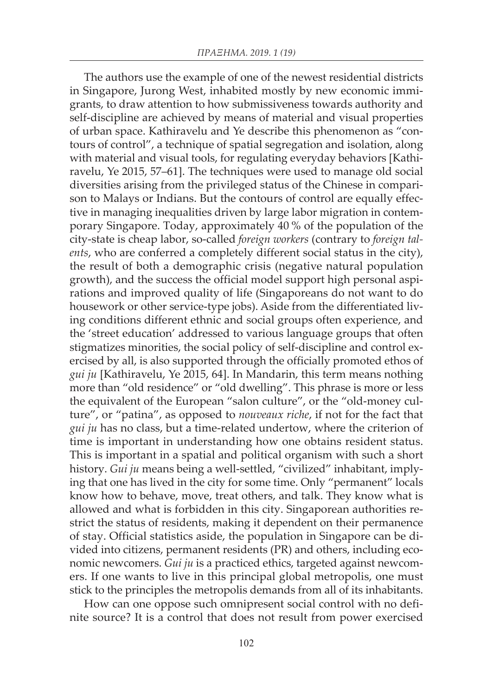The authors use the example of one of the newest residential districts in Singapore, Jurong West, inhabited mostly by new economic immigrants, to draw attention to how submissiveness towards authority and self-discipline are achieved by means of material and visual properties of urban space. Kathiravelu and Ye describe this phenomenon as "contours of control", a technique of spatial segregation and isolation, along with material and visual tools, for regulating everyday behaviors [Kathiravelu, Ye 2015, 57–61]. The techniques were used to manage old social diversities arising from the privileged status of the Chinese in comparison to Malays or Indians. But the contours of control are equally effective in managing inequalities driven by large labor migration in contemporary Singapore. Today, approximately 40 % of the population of the city-state is cheap labor, so-called *foreign workers* (contrary to *foreign talents*, who are conferred a completely different social status in the city), the result of both a demographic crisis (negative natural population growth), and the success the official model support high personal aspirations and improved quality of life (Singaporeans do not want to do housework or other service-type jobs). Aside from the differentiated living conditions different ethnic and social groups often experience, and the 'street education' addressed to various language groups that often stigmatizes minorities, the social policy of self-discipline and control exercised by all, is also supported through the officially promoted ethos of *gui ju* [Kathiravelu, Ye 2015, 64]. In Mandarin, this term means nothing more than "old residence" or "old dwelling". This phrase is more or less the equivalent of the European "salon culture", or the "old-money culture", or "patina", as opposed to *nouveaux riche*, if not for the fact that *gui ju* has no class, but a time-related undertow, where the criterion of time is important in understanding how one obtains resident status. This is important in a spatial and political organism with such a short history. *Gui ju* means being a well-settled, "civilized" inhabitant, implying that one has lived in the city for some time. Only "permanent" locals know how to behave, move, treat others, and talk. They know what is allowed and what is forbidden in this city. Singaporean authorities restrict the status of residents, making it dependent on their permanence of stay. Official statistics aside, the population in Singapore can be divided into citizens, permanent residents (PR) and others, including economic newcomers. *Gui ju* is a practiced ethics, targeted against newcomers. If one wants to live in this principal global metropolis, one must stick to the principles the metropolis demands from all of its inhabitants.

How can one oppose such omnipresent social control with no definite source? It is a control that does not result from power exercised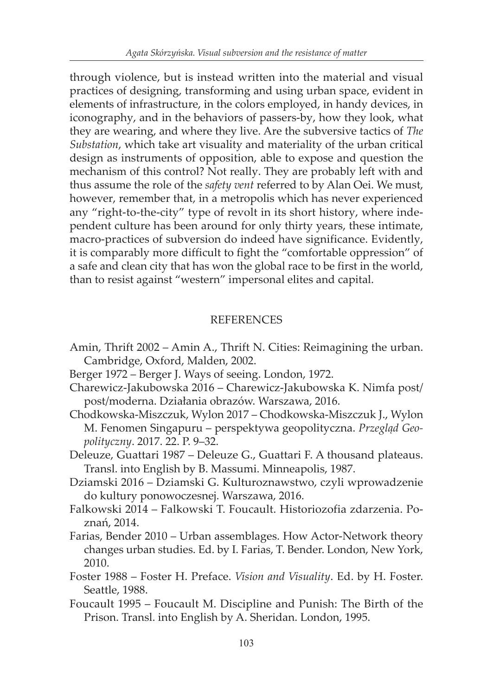through violence, but is instead written into the material and visual practices of designing, transforming and using urban space, evident in elements of infrastructure, in the colors employed, in handy devices, in iconography, and in the behaviors of passers-by, how they look, what they are wearing, and where they live. Are the subversive tactics of *The Substation*, which take art visuality and materiality of the urban critical design as instruments of opposition, able to expose and question the mechanism of this control? Not really. They are probably left with and thus assume the role of the *safety vent* referred to by Alan Oei. We must, however, remember that, in a metropolis which has never experienced any "right-to-the-city" type of revolt in its short history, where independent culture has been around for only thirty years, these intimate, macro-practices of subversion do indeed have significance. Evidently, it is comparably more difficult to fight the "comfortable oppression" of a safe and clean city that has won the global race to be first in the world, than to resist against "western" impersonal elites and capital.

# **REFERENCES**

- Amin, Thrift 2002 Amin A., Thrift N. Cities: Reimagining the urban. Cambridge, Oxford, Malden, 2002.
- Berger 1972 Berger J. Ways of seeing. London, 1972.
- Charewicz-Jakubowska 2016 Charewicz-Jakubowska K. Nimfa post/ post/moderna. Działania obrazów. Warszawa, 2016.
- Chodkowska-Miszczuk, Wylon 2017 Chodkowska-Miszczuk J., Wylon M. Fenomen Singapuru – perspektywa geopolityczna. *Przegląd Geopolityczny*. 2017. 22. P. 9–32.
- Deleuze, Guattari 1987 Deleuze G., Guattari F. A thousand plateaus. Transl. into English by B. Massumi. Minneapolis, 1987.
- Dziamski 2016 Dziamski G. Kulturoznawstwo, czyli wprowadzenie do kultury ponowoczesnej. Warszawa, 2016.
- Falkowski 2014 Falkowski T. Foucault. Historiozofia zdarzenia. Poznań, 2014.
- Farias, Bender 2010 Urban assemblages. How Actor-Network theory changes urban studies. Ed. by I. Farias, T. Bender. London, New York, 2010.
- Foster 1988 Foster H. Preface. *Vision and Visuality*. Ed. by H. Foster. Seattle, 1988.
- Foucault 1995 Foucault M. Discipline and Punish: The Birth of the Prison. Transl. into English by A. Sheridan. London, 1995.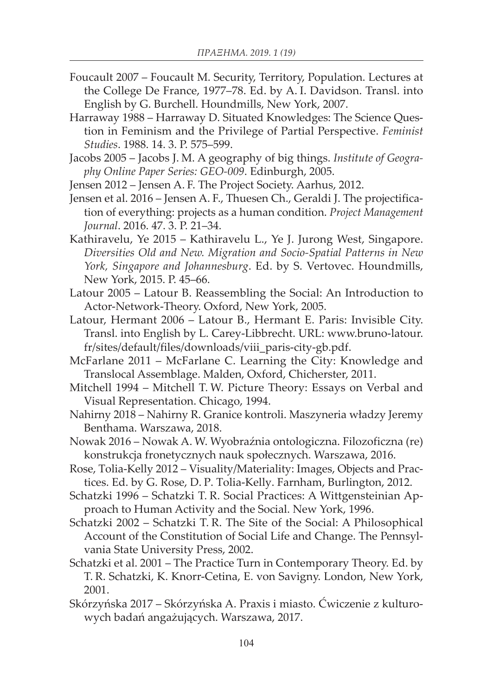- Foucault 2007 Foucault M. Security, Territory, Population. Lectures at the College De France, 1977–78. Ed. by A. I. Davidson. Transl. into English by G. Burchell. Houndmills, New York, 2007.
- Harraway 1988 Harraway D. Situated Knowledges: The Science Question in Feminism and the Privilege of Partial Perspective. *Feminist Studies*. 1988. 14. 3. P. 575–599.
- Jacobs 2005 Jacobs J. M. A geography of big things. *Institute of Geography Online Paper Series: GEO-009*. Edinburgh, 2005.
- Jensen 2012 Jensen A. F. The Project Society. Aarhus, 2012.
- Jensen et al. 2016 Jensen A. F., Thuesen Ch., Geraldi J. The projectification of everything: projects as a human condition. *Project Management Journal*. 2016. 47. 3. P. 21–34.
- Kathiravelu, Ye 2015 Kathiravelu L., Ye J. Jurong West, Singapore. *Diversities Old and New. Migration and Socio-Spatial Patterns in New York, Singapore and Johannesburg*. Ed. by S. Vertovec. Houndmills, New York, 2015. P. 45–66.
- Latour 2005 Latour B. Reassembling the Social: An Introduction to Actor-Network-Theory. Oxford, New York, 2005.
- Latour, Hermant 2006 Latour B., Hermant E. Paris: Invisible City. Transl. into English by L. Carey-Libbrecht. URL: www.bruno-latour. fr/sites/default/files/downloads/viii\_paris-city-gb.pdf.
- McFarlane 2011 McFarlane C. Learning the City: Knowledge and Translocal Assemblage. Malden, Oxford, Chicherster, 2011.
- Mitchell 1994 Mitchell T. W. Picture Theory: Essays on Verbal and Visual Representation. Chicago, 1994.
- Nahirny 2018 Nahirny R. Granice kontroli. Maszyneria władzy Jeremy Benthama. Warszawa, 2018.
- Nowak 2016 Nowak A. W. Wyobraźnia ontologiczna. Filozoficzna (re) konstrukcja fronetycznych nauk społecznych. Warszawa, 2016.
- Rose, Tolia-Kelly 2012 Visuality/Materiality: Images, Objects and Practices. Ed. by G. Rose, D. P. Tolia-Kelly. Farnham, Burlington, 2012.
- Schatzki 1996 Schatzki T. R. Social Practices: A Wittgensteinian Approach to Human Activity and the Social. New York, 1996.
- Schatzki 2002 Schatzki T. R. The Site of the Social: A Philosophical Account of the Constitution of Social Life and Change. The Pennsylvania State University Press, 2002.
- Schatzki et al. 2001 The Practice Turn in Contemporary Theory. Ed. by T. R. Schatzki, K. Knorr-Cetina, E. von Savigny. London, New York, 2001.
- Skórzyńska 2017 Skórzyńska A. Praxis i miasto. Ćwiczenie z kulturowych badań angażujących. Warszawa, 2017.